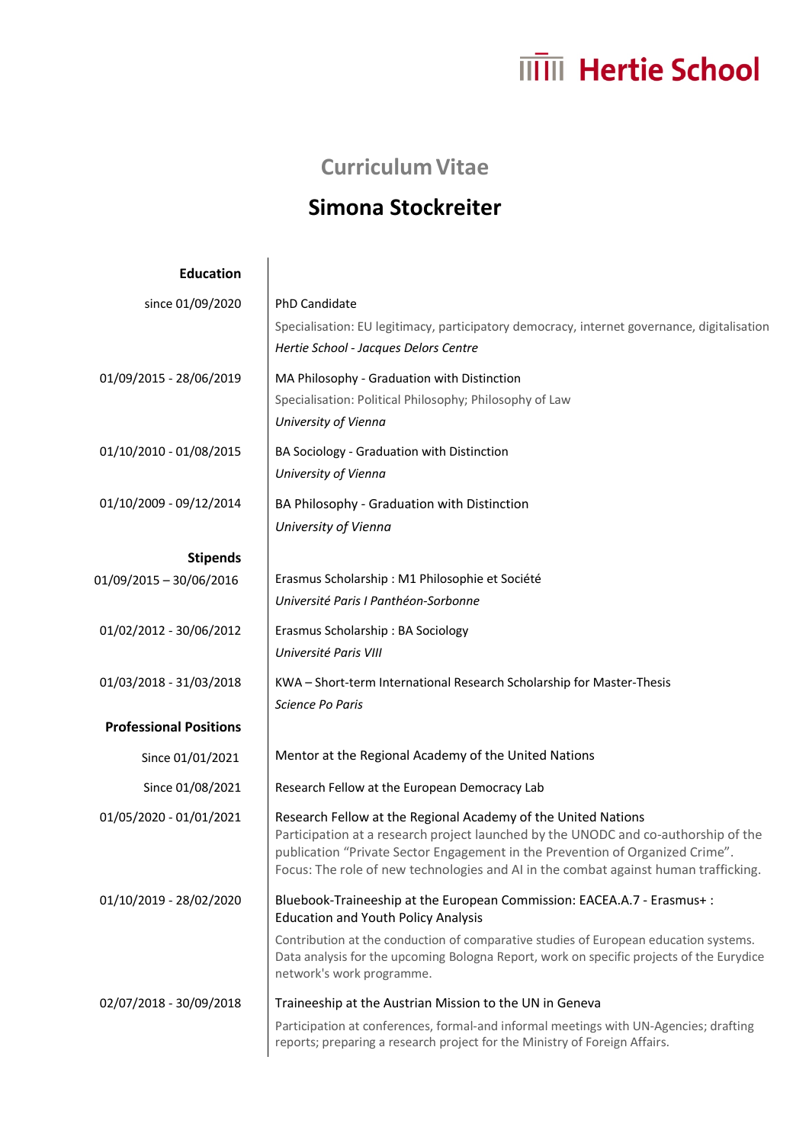## **ITTIII** Hertie School

## **Curriculum Vitae**

## **Simona Stockreiter**

| <b>Education</b>              |                                                                                                                                                                                                                                                                                                                             |
|-------------------------------|-----------------------------------------------------------------------------------------------------------------------------------------------------------------------------------------------------------------------------------------------------------------------------------------------------------------------------|
| since 01/09/2020              | PhD Candidate<br>Specialisation: EU legitimacy, participatory democracy, internet governance, digitalisation<br>Hertie School - Jacques Delors Centre                                                                                                                                                                       |
| 01/09/2015 - 28/06/2019       | MA Philosophy - Graduation with Distinction<br>Specialisation: Political Philosophy; Philosophy of Law<br>University of Vienna                                                                                                                                                                                              |
| 01/10/2010 - 01/08/2015       | BA Sociology - Graduation with Distinction<br>University of Vienna                                                                                                                                                                                                                                                          |
| 01/10/2009 - 09/12/2014       | BA Philosophy - Graduation with Distinction<br>University of Vienna                                                                                                                                                                                                                                                         |
| <b>Stipends</b>               |                                                                                                                                                                                                                                                                                                                             |
| 01/09/2015 - 30/06/2016       | Erasmus Scholarship : M1 Philosophie et Société<br>Université Paris I Panthéon-Sorbonne                                                                                                                                                                                                                                     |
| 01/02/2012 - 30/06/2012       | Erasmus Scholarship: BA Sociology<br>Université Paris VIII                                                                                                                                                                                                                                                                  |
| 01/03/2018 - 31/03/2018       | KWA - Short-term International Research Scholarship for Master-Thesis<br>Science Po Paris                                                                                                                                                                                                                                   |
| <b>Professional Positions</b> |                                                                                                                                                                                                                                                                                                                             |
| Since 01/01/2021              | Mentor at the Regional Academy of the United Nations                                                                                                                                                                                                                                                                        |
| Since 01/08/2021              | Research Fellow at the European Democracy Lab                                                                                                                                                                                                                                                                               |
| 01/05/2020 - 01/01/2021       | Research Fellow at the Regional Academy of the United Nations<br>Participation at a research project launched by the UNODC and co-authorship of the<br>publication "Private Sector Engagement in the Prevention of Organized Crime".<br>Focus: The role of new technologies and AI in the combat against human trafficking. |
| 01/10/2019 - 28/02/2020       | Bluebook-Traineeship at the European Commission: EACEA.A.7 - Erasmus+:<br><b>Education and Youth Policy Analysis</b>                                                                                                                                                                                                        |
|                               | Contribution at the conduction of comparative studies of European education systems.<br>Data analysis for the upcoming Bologna Report, work on specific projects of the Eurydice<br>network's work programme.                                                                                                               |
| 02/07/2018 - 30/09/2018       | Traineeship at the Austrian Mission to the UN in Geneva                                                                                                                                                                                                                                                                     |
|                               | Participation at conferences, formal-and informal meetings with UN-Agencies; drafting<br>reports; preparing a research project for the Ministry of Foreign Affairs.                                                                                                                                                         |